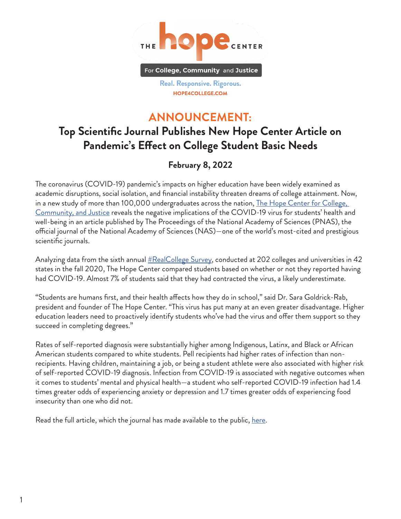

Real. Responsive. Rigorous. HOPE4COLLEGE.COM

## **ANNOUNCEMENT:**

## **Top Scientific Journal Publishes New Hope Center Article on Pandemic's Effect on College Student Basic Needs**

## **February 8, 2022**

The coronavirus (COVID-19) pandemic's impacts on higher education have been widely examined as academic disruptions, social isolation, and financial instability threaten dreams of college attainment. Now, in a new study of more than 100,000 undergraduates across the nation, The Hope Center for College, [Community, and Justice](https://hope4college.com/) reveals the negative implications of the COVID-19 virus for students' health and well-being in an article published by The Proceedings of the National Academy of Sciences (PNAS), the official journal of the National Academy of Sciences (NAS)—one of the world's most-cited and prestigious scientific journals.

Analyzing data from the sixth annual [#RealCollege Survey](https://hope4college.com/rc2021-bni-during-the-ongoing-pandemic/), conducted at 202 colleges and universities in 42 states in the fall 2020, The Hope Center compared students based on whether or not they reported having had COVID-19. Almost 7% of students said that they had contracted the virus, a likely underestimate.

"Students are humans first, and their health affects how they do in school," said Dr. Sara Goldrick-Rab, president and founder of The Hope Center. "This virus has put many at an even greater disadvantage. Higher education leaders need to proactively identify students who've had the virus and offer them support so they succeed in completing degrees."

Rates of self-reported diagnosis were substantially higher among Indigenous, Latinx, and Black or African American students compared to white students. Pell recipients had higher rates of infection than nonrecipients. Having children, maintaining a job, or being a student athlete were also associated with higher risk of self-reported COVID-19 diagnosis. Infection from COVID-19 is associated with negative outcomes when it comes to students' mental and physical health—a student who self-reported COVID-19 infection had 1.4 times greater odds of experiencing anxiety or depression and 1.7 times greater odds of experiencing food insecurity than one who did not.

Read the full article, which the journal has made available to the public, <u>[here](https://www.pnas.org/content/119/7/e2111787119)</u>.